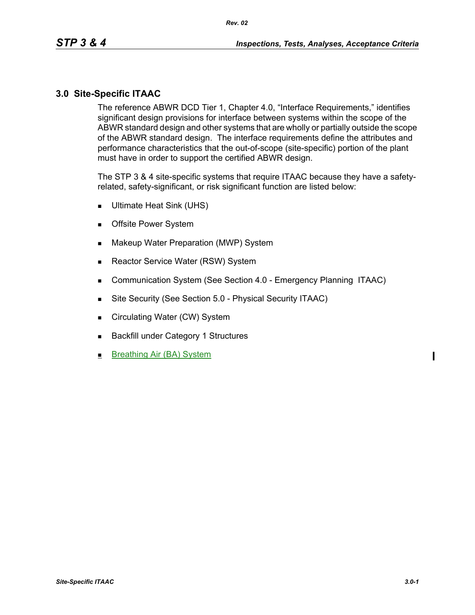## **3.0 Site-Specific ITAAC**

The reference ABWR DCD Tier 1, Chapter 4.0, "Interface Requirements," identifies significant design provisions for interface between systems within the scope of the ABWR standard design and other systems that are wholly or partially outside the scope of the ABWR standard design. The interface requirements define the attributes and performance characteristics that the out-of-scope (site-specific) portion of the plant must have in order to support the certified ABWR design.

The STP 3 & 4 site-specific systems that require ITAAC because they have a safetyrelated, safety-significant, or risk significant function are listed below:

- Ultimate Heat Sink (UHS)
- **Deb** Offsite Power System
- **Makeup Water Preparation (MWP) System**
- Reactor Service Water (RSW) System
- **Communication System (See Section 4.0 Emergency Planning ITAAC)**
- Site Security (See Section 5.0 Physical Security ITAAC)
- Circulating Water (CW) System
- **Backfill under Category 1 Structures**
- Breathing Air (BA) System

 $\mathbf I$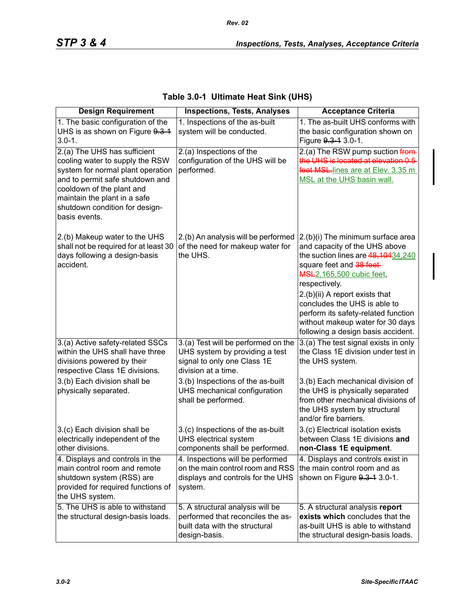| <b>Design Requirement</b>                                                                                                                                                                                                                               | <b>Inspections, Tests, Analyses</b>                                                                                         | <b>Acceptance Criteria</b>                                                                                                                                                                                                                                                                                                                                                     |
|---------------------------------------------------------------------------------------------------------------------------------------------------------------------------------------------------------------------------------------------------------|-----------------------------------------------------------------------------------------------------------------------------|--------------------------------------------------------------------------------------------------------------------------------------------------------------------------------------------------------------------------------------------------------------------------------------------------------------------------------------------------------------------------------|
| 1. The basic configuration of the<br>UHS is as shown on Figure 9.3-1<br>$3.0 - 1.$                                                                                                                                                                      | 1. Inspections of the as-built<br>system will be conducted.                                                                 | 1. The as-built UHS conforms with<br>the basic configuration shown on<br>Figure 9.3-1 3.0-1.                                                                                                                                                                                                                                                                                   |
| 2.(a) The UHS has sufficient<br>cooling water to supply the RSW<br>system for normal plant operation<br>and to permit safe shutdown and<br>cooldown of the plant and<br>maintain the plant in a safe<br>shutdown condition for design-<br>basis events. | 2.(a) Inspections of the<br>configuration of the UHS will be<br>performed.                                                  | 2.(a) The RSW pump suction from-<br>the UHS is located at elevation 0.5<br>feet MSL-lines are at Elev. 3.35 m<br>MSL at the UHS basin wall.                                                                                                                                                                                                                                    |
| 2.(b) Makeup water to the UHS<br>shall not be required for at least 30<br>days following a design-basis<br>accident.                                                                                                                                    | 2.(b) An analysis will be performed<br>of the need for makeup water for<br>the UHS.                                         | 2.(b)(i) The minimum surface area<br>and capacity of the UHS above<br>the suction lines are 48, 10434, 240<br>square feet and 38 feet-<br><b>MSL2, 165,500 cubic feet,</b><br>respectively.<br>2.(b)(ii) A report exists that<br>concludes the UHS is able to<br>perform its safety-related function<br>without makeup water for 30 days<br>following a design basis accident. |
| 3.(a) Active safety-related SSCs<br>within the UHS shall have three<br>divisions powered by their<br>respective Class 1E divisions.                                                                                                                     | 3.(a) Test will be performed on the<br>UHS system by providing a test<br>signal to only one Class 1E<br>division at a time. | 3.(a) The test signal exists in only<br>the Class 1E division under test in<br>the UHS system.                                                                                                                                                                                                                                                                                 |
| 3.(b) Each division shall be<br>physically separated.                                                                                                                                                                                                   | 3.(b) Inspections of the as-built<br>UHS mechanical configuration<br>shall be performed.                                    | 3.(b) Each mechanical division of<br>the UHS is physically separated<br>from other mechanical divisions of<br>the UHS system by structural<br>and/or fire barriers.                                                                                                                                                                                                            |
| 3.(c) Each division shall be<br>electrically independent of the<br>other divisions.                                                                                                                                                                     | 3.(c) Inspections of the as-built<br>UHS electrical system<br>components shall be performed.                                | 3.(c) Electrical isolation exists<br>between Class 1E divisions and<br>non-Class 1E equipment.                                                                                                                                                                                                                                                                                 |
| 4. Displays and controls in the<br>main control room and remote<br>shutdown system (RSS) are<br>provided for required functions of<br>the UHS system.                                                                                                   | 4. Inspections will be performed<br>on the main control room and RSS<br>displays and controls for the UHS<br>system.        | 4. Displays and controls exist in<br>the main control room and as<br>shown on Figure 9.3-1 3.0-1.                                                                                                                                                                                                                                                                              |
| 5. The UHS is able to withstand<br>the structural design-basis loads.                                                                                                                                                                                   | 5. A structural analysis will be<br>performed that reconciles the as-<br>built data with the structural<br>design-basis.    | 5. A structural analysis report<br>exists which concludes that the<br>as-built UHS is able to withstand<br>the structural design-basis loads.                                                                                                                                                                                                                                  |

# **Table 3.0-1 Ultimate Heat Sink (UHS)**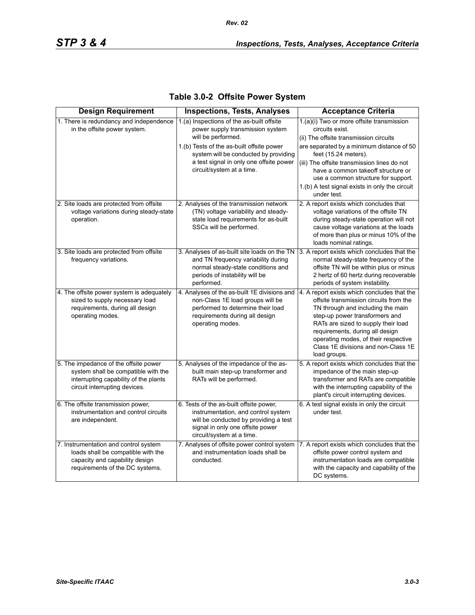| <b>Design Requirement</b>                                                                                                                              | <b>Inspections, Tests, Analyses</b>                                                                                                                                                                                                                               | <b>Acceptance Criteria</b>                                                                                                                                                                                                                                                                                                                                               |
|--------------------------------------------------------------------------------------------------------------------------------------------------------|-------------------------------------------------------------------------------------------------------------------------------------------------------------------------------------------------------------------------------------------------------------------|--------------------------------------------------------------------------------------------------------------------------------------------------------------------------------------------------------------------------------------------------------------------------------------------------------------------------------------------------------------------------|
| 1. There is redundancy and independence<br>in the offsite power system.                                                                                | 1.(a) Inspections of the as-built offsite<br>power supply transmission system<br>will be performed.<br>1.(b) Tests of the as-built offsite power<br>system will be conducted by providing<br>a test signal in only one offsite power<br>circuit/system at a time. | 1.(a)(i) Two or more offsite transmission<br>circuits exist.<br>(ii) The offsite transmission circuits<br>are separated by a minimum distance of 50<br>feet (15.24 meters).<br>(iii) The offsite transmission lines do not<br>have a common takeoff structure or<br>use a common structure for support.<br>1.(b) A test signal exists in only the circuit<br>under test. |
| 2. Site loads are protected from offsite<br>voltage variations during steady-state<br>operation.                                                       | 2. Analyses of the transmission network<br>(TN) voltage variability and steady-<br>state load requirements for as-built<br>SSCs will be performed.                                                                                                                | 2. A report exists which concludes that<br>voltage variations of the offsite TN<br>during steady-state operation will not<br>cause voltage variations at the loads<br>of more than plus or minus 10% of the<br>loads nominal ratings.                                                                                                                                    |
| 3. Site loads are protected from offsite<br>frequency variations.                                                                                      | 3. Analyses of as-built site loads on the TN<br>and TN frequency variability during<br>normal steady-state conditions and<br>periods of instability will be<br>performed.                                                                                         | 3. A report exists which concludes that the<br>normal steady-state frequency of the<br>offsite TN will be within plus or minus<br>2 hertz of 60 hertz during recoverable<br>periods of system instability.                                                                                                                                                               |
| 4. The offsite power system is adequately<br>sized to supply necessary load<br>requirements, during all design<br>operating modes.                     | 4. Analyses of the as-built 1E divisions and<br>non-Class 1E load groups will be<br>performed to determine their load<br>requirements during all design<br>operating modes.                                                                                       | 4. A report exists which concludes that the<br>offsite transmission circuits from the<br>TN through and including the main<br>step-up power transformers and<br>RATs are sized to supply their load<br>requirements, during all design<br>operating modes, of their respective<br>Class 1E divisions and non-Class 1E<br>load groups.                                    |
| 5. The impedance of the offsite power<br>system shall be compatible with the<br>interrupting capability of the plants<br>circuit interrupting devices. | 5. Analyses of the impedance of the as-<br>built main step-up transformer and<br>RATs will be performed.                                                                                                                                                          | 5. A report exists which concludes that the<br>impedance of the main step-up<br>transformer and RATs are compatible<br>with the interrupting capability of the<br>plant's circuit interrupting devices.                                                                                                                                                                  |
| 6. The offsite transmission power,<br>instrumentation and control circuits<br>are independent.                                                         | 6. Tests of the as-built offsite power,<br>instrumentation, and control system<br>will be conducted by providing a test<br>signal in only one offsite power<br>circuit/system at a time.                                                                          | 6. A test signal exists in only the circuit<br>under test.                                                                                                                                                                                                                                                                                                               |
| 7. Instrumentation and control system<br>loads shall be compatible with the<br>capacity and capability design<br>requirements of the DC systems.       | 7. Analyses of offsite power control system<br>and instrumentation loads shall be<br>conducted.                                                                                                                                                                   | 7. A report exists which concludes that the<br>offsite power control system and<br>instrumentation loads are compatible<br>with the capacity and capability of the<br>DC systems.                                                                                                                                                                                        |

# **Table 3.0-2 Offsite Power System**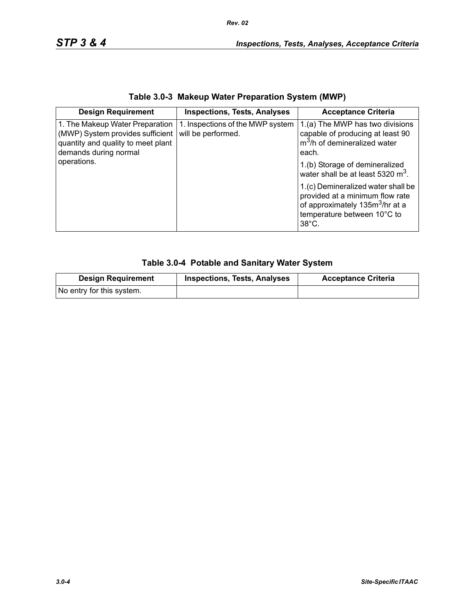|  | Table 3.0-3 Makeup Water Preparation System (MWP) |  |
|--|---------------------------------------------------|--|
|--|---------------------------------------------------|--|

| <b>Design Requirement</b>                                                                                                                         | <b>Inspections, Tests, Analyses</b>                    | <b>Acceptance Criteria</b>                                                                                                                                                                                              |
|---------------------------------------------------------------------------------------------------------------------------------------------------|--------------------------------------------------------|-------------------------------------------------------------------------------------------------------------------------------------------------------------------------------------------------------------------------|
| 1. The Makeup Water Preparation<br>(MWP) System provides sufficient<br>quantity and quality to meet plant<br>demands during normal<br>operations. | 1. Inspections of the MWP system<br>will be performed. | 1.(a) The MWP has two divisions<br>capable of producing at least 90<br>m <sup>3</sup> /h of demineralized water<br>each.<br>1.(b) Storage of demineralized                                                              |
|                                                                                                                                                   |                                                        | water shall be at least 5320 m <sup>3</sup> .<br>1.(c) Demineralized water shall be<br>provided at a minimum flow rate<br>of approximately 135m <sup>3</sup> /hr at a<br>temperature between 10°C to<br>$38^{\circ}$ C. |

# **Table 3.0-4 Potable and Sanitary Water System**

| <b>Design Requirement</b> | <b>Inspections, Tests, Analyses</b> | <b>Acceptance Criteria</b> |
|---------------------------|-------------------------------------|----------------------------|
| No entry for this system. |                                     |                            |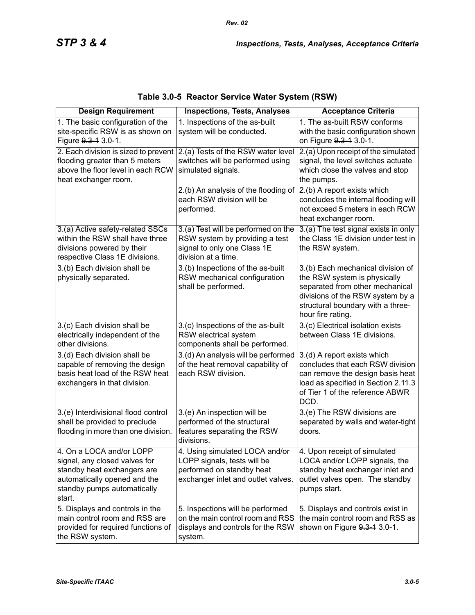| <b>Design Requirement</b>                                                                                                                                         | <b>Inspections, Tests, Analyses</b>                                                                                              | <b>Acceptance Criteria</b>                                                                                                                                                                         |
|-------------------------------------------------------------------------------------------------------------------------------------------------------------------|----------------------------------------------------------------------------------------------------------------------------------|----------------------------------------------------------------------------------------------------------------------------------------------------------------------------------------------------|
| 1. The basic configuration of the<br>site-specific RSW is as shown on<br>Figure 9.3-1 3.0-1.                                                                      | 1. Inspections of the as-built<br>system will be conducted.                                                                      | 1. The as-built RSW conforms<br>with the basic configuration shown<br>on Figure 9.3-1 3.0-1.                                                                                                       |
| 2. Each division is sized to prevent<br>flooding greater than 5 meters<br>above the floor level in each RCW<br>heat exchanger room.                               | 2.(a) Tests of the RSW water level<br>switches will be performed using<br>simulated signals.                                     | 2.(a) Upon receipt of the simulated<br>signal, the level switches actuate<br>which close the valves and stop<br>the pumps.                                                                         |
|                                                                                                                                                                   | 2.(b) An analysis of the flooding of<br>each RSW division will be<br>performed.                                                  | 2.(b) A report exists which<br>concludes the internal flooding will<br>not exceed 5 meters in each RCW<br>heat exchanger room.                                                                     |
| 3.(a) Active safety-related SSCs<br>within the RSW shall have three<br>divisions powered by their<br>respective Class 1E divisions.                               | 3.(a) Test will be performed on the<br>RSW system by providing a test<br>signal to only one Class 1E<br>division at a time.      | 3.(a) The test signal exists in only<br>the Class 1E division under test in<br>the RSW system.                                                                                                     |
| 3.(b) Each division shall be<br>physically separated.                                                                                                             | 3.(b) Inspections of the as-built<br>RSW mechanical configuration<br>shall be performed.                                         | 3.(b) Each mechanical division of<br>the RSW system is physically<br>separated from other mechanical<br>divisions of the RSW system by a<br>structural boundary with a three-<br>hour fire rating. |
| 3.(c) Each division shall be<br>electrically independent of the<br>other divisions.                                                                               | 3.(c) Inspections of the as-built<br>RSW electrical system<br>components shall be performed.                                     | 3.(c) Electrical isolation exists<br>between Class 1E divisions.                                                                                                                                   |
| 3.(d) Each division shall be<br>capable of removing the design<br>basis heat load of the RSW heat<br>exchangers in that division.                                 | 3.(d) An analysis will be performed<br>of the heat removal capability of<br>each RSW division.                                   | 3.(d) A report exists which<br>concludes that each RSW division<br>can remove the design basis heat<br>load as specified in Section 2.11.3<br>of Tier 1 of the reference ABWR<br>DCD.              |
| 3.(e) Interdivisional flood control<br>shall be provided to preclude<br>flooding in more than one division.                                                       | 3.(e) An inspection will be<br>performed of the structural<br>features separating the RSW<br>divisions.                          | 3.(e) The RSW divisions are<br>separated by walls and water-tight<br>doors.                                                                                                                        |
| 4. On a LOCA and/or LOPP<br>signal, any closed valves for<br>standby heat exchangers are<br>automatically opened and the<br>standby pumps automatically<br>start. | 4. Using simulated LOCA and/or<br>LOPP signals, tests will be<br>performed on standby heat<br>exchanger inlet and outlet valves. | 4. Upon receipt of simulated<br>LOCA and/or LOPP signals, the<br>standby heat exchanger inlet and<br>outlet valves open. The standby<br>pumps start.                                               |
| 5. Displays and controls in the<br>main control room and RSS are<br>provided for required functions of<br>the RSW system.                                         | 5. Inspections will be performed<br>on the main control room and RSS<br>displays and controls for the RSW<br>system.             | 5. Displays and controls exist in<br>the main control room and RSS as<br>shown on Figure 9.3-1 3.0-1.                                                                                              |

# **Table 3.0-5 Reactor Service Water System (RSW)**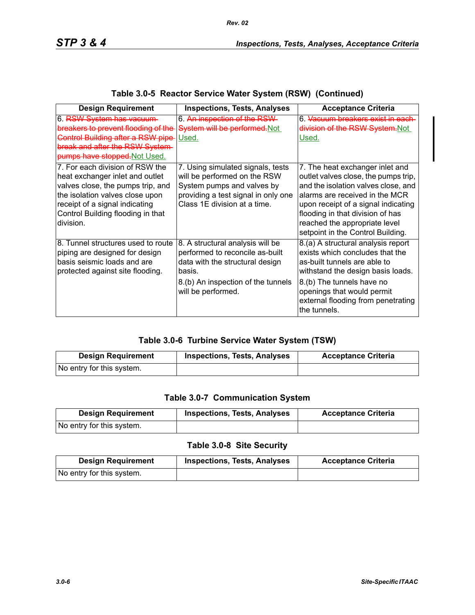| <b>Design Requirement</b>                                                                                                                                                                                                      | <b>Inspections, Tests, Analyses</b>                                                                                                                                          | <b>Acceptance Criteria</b>                                                                                                                                                                                                                                                                        |
|--------------------------------------------------------------------------------------------------------------------------------------------------------------------------------------------------------------------------------|------------------------------------------------------------------------------------------------------------------------------------------------------------------------------|---------------------------------------------------------------------------------------------------------------------------------------------------------------------------------------------------------------------------------------------------------------------------------------------------|
| 6. RSW System has vacuum<br>breakers to prevent flooding of the<br><b>Control Building after a RSW pipe</b><br>break and after the RSW System<br>pumps have stopped. Not Used.                                                 | 6. An inspection of the RSW-<br>System will be performed.Not<br>Used.                                                                                                        | 6. <del>Vacuum breakers exist in each</del><br>division of the RSW System.Not<br>Used.                                                                                                                                                                                                            |
| 7. For each division of RSW the<br>heat exchanger inlet and outlet<br>valves close, the pumps trip, and<br>the isolation valves close upon<br>receipt of a signal indicating<br>Control Building flooding in that<br>division. | 7. Using simulated signals, tests<br>will be performed on the RSW<br>System pumps and valves by<br>providing a test signal in only one<br>Class 1E division at a time.       | 7. The heat exchanger inlet and<br>outlet valves close, the pumps trip,<br>and the isolation valves close, and<br>alarms are received in the MCR<br>upon receipt of a signal indicating<br>flooding in that division of has<br>reached the appropriate level<br>setpoint in the Control Building. |
| 8. Tunnel structures used to route<br>piping are designed for design<br>basis seismic loads and are<br>protected against site flooding.                                                                                        | 8. A structural analysis will be<br>performed to reconcile as-built<br>data with the structural design<br>basis.<br>8.(b) An inspection of the tunnels<br>will be performed. | 8.(a) A structural analysis report<br>exists which concludes that the<br>as-built tunnels are able to<br>withstand the design basis loads.<br>8.(b) The tunnels have no<br>openings that would permit<br>external flooding from penetrating<br>the tunnels.                                       |

## **Table 3.0-5 Reactor Service Water System (RSW) (Continued)**

## **Table 3.0-6 Turbine Service Water System (TSW)**

| <b>Design Requirement</b> | <b>Inspections, Tests, Analyses</b> | <b>Acceptance Criteria</b> |
|---------------------------|-------------------------------------|----------------------------|
| No entry for this system. |                                     |                            |

#### **Table 3.0-7 Communication System**

| <b>Design Requirement</b> | <b>Inspections, Tests, Analyses</b> | <b>Acceptance Criteria</b> |
|---------------------------|-------------------------------------|----------------------------|
| No entry for this system. |                                     |                            |

#### **Table 3.0-8 Site Security**

| <b>Design Requirement</b> | <b>Inspections, Tests, Analyses</b> | <b>Acceptance Criteria</b> |
|---------------------------|-------------------------------------|----------------------------|
| No entry for this system. |                                     |                            |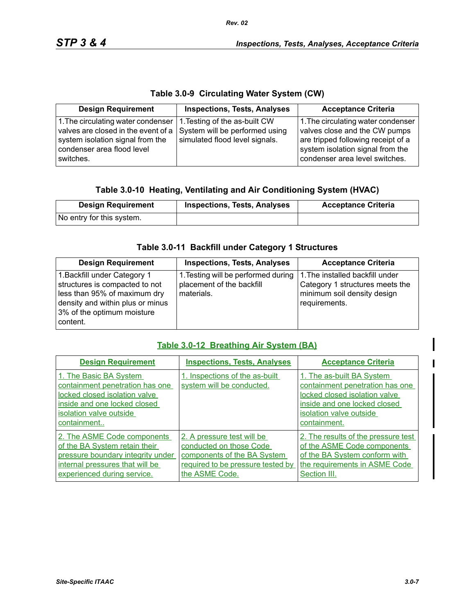# **Table 3.0-9 Circulating Water System (CW)**

| <b>Design Requirement</b>                                                                                                                                                                                                       | <b>Inspections, Tests, Analyses</b> | <b>Acceptance Criteria</b>                                                                                                                                                      |
|---------------------------------------------------------------------------------------------------------------------------------------------------------------------------------------------------------------------------------|-------------------------------------|---------------------------------------------------------------------------------------------------------------------------------------------------------------------------------|
| 1. The circulating water condenser   1. Testing of the as-built CW<br>valves are closed in the event of a $\vert$ System will be performed using<br>system isolation signal from the<br>condenser area flood level<br>switches. | simulated flood level signals.      | 1. The circulating water condenser<br>valves close and the CW pumps<br>are tripped following receipt of a<br>system isolation signal from the<br>condenser area level switches. |

## **Table 3.0-10 Heating, Ventilating and Air Conditioning System (HVAC)**

| <b>Design Requirement</b> | <b>Inspections, Tests, Analyses</b> | <b>Acceptance Criteria</b> |
|---------------------------|-------------------------------------|----------------------------|
| No entry for this system. |                                     |                            |

## **Table 3.0-11 Backfill under Category 1 Structures**

| <b>Design Requirement</b>                                                                                                                                                    | <b>Inspections, Tests, Analyses</b>                                            | <b>Acceptance Criteria</b>                                                                                         |
|------------------------------------------------------------------------------------------------------------------------------------------------------------------------------|--------------------------------------------------------------------------------|--------------------------------------------------------------------------------------------------------------------|
| 1. Backfill under Category 1<br>structures is compacted to not<br>less than 95% of maximum dry<br>density and within plus or minus<br>3% of the optimum moisture<br>content. | 1. Testing will be performed during<br>placement of the backfill<br>materials. | 1. The installed backfill under<br>Category 1 structures meets the<br>minimum soil density design<br>requirements. |

## **Table 3.0-12 Breathing Air System (BA)**

| <b>Design Requirement</b>                                                                                                                                            | <b>Inspections, Tests, Analyses</b>                                                                                                         | <b>Acceptance Criteria</b>                                                                                                                                               |
|----------------------------------------------------------------------------------------------------------------------------------------------------------------------|---------------------------------------------------------------------------------------------------------------------------------------------|--------------------------------------------------------------------------------------------------------------------------------------------------------------------------|
| 1. The Basic BA System<br>containment penetration has one<br>locked closed isolation valve<br>inside and one locked closed<br>isolation valve outside<br>containment | 1. Inspections of the as-built<br>system will be conducted.                                                                                 | 1. The as-built BA System<br>containment penetration has one<br>locked closed isolation valve<br>inside and one locked closed<br>isolation valve outside<br>containment. |
| 2. The ASME Code components<br>of the BA System retain their<br>pressure boundary integrity under<br>internal pressures that will be<br>experienced during service.  | 2. A pressure test will be<br>conducted on those Code<br>components of the BA System<br>required to be pressure tested by<br>the ASME Code. | 2. The results of the pressure test<br>of the ASME Code components<br>of the BA System conform with<br>the requirements in ASME Code<br>Section III.                     |